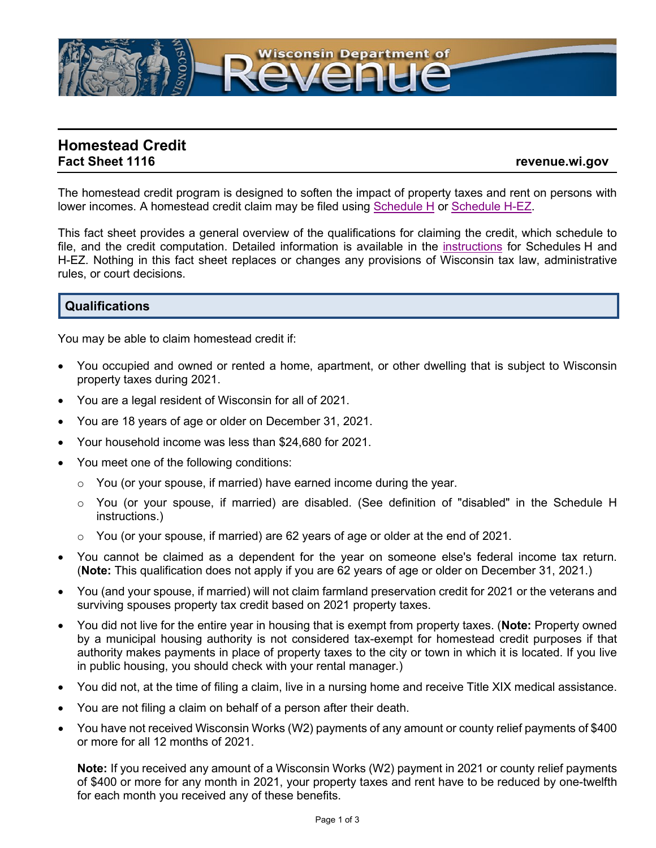

# **Homestead Credit**

### **Fact Sheet 1116 revenue.wi.gov**

The homestead credit program is designed to soften the impact of property taxes and rent on persons with lower incomes. A homestead credit claim may be filed using [Schedule](https://www.revenue.wi.gov/TaxForms2021/2021-ScheduleHf.pdf) H or [Schedule](https://www.revenue.wi.gov/TaxForms2021/2021-ScheduleH-EZf.pdf) H-EZ.

This fact sheet provides a general overview of the qualifications for claiming the credit, which schedule to file, and the credit computation. Detailed information is available in the [instructions](https://www.revenue.wi.gov/TaxForms2021/2021-ScheduleH-inst.pdf) for Schedules H and H-EZ. Nothing in this fact sheet replaces or changes any provisions of Wisconsin tax law, administrative rules, or court decisions.

## **Qualifications**

You may be able to claim homestead credit if:

- You occupied and owned or rented a home, apartment, or other dwelling that is subject to Wisconsin property taxes during 2021.
- You are a legal resident of Wisconsin for all of 2021.
- You are 18 years of age or older on December 31, 2021.
- Your household income was less than \$24,680 for 2021.
- You meet one of the following conditions:
	- $\circ$  You (or your spouse, if married) have earned income during the year.
	- o You (or your spouse, if married) are disabled. (See definition of "disabled" in the Schedule H instructions.)
	- $\circ$  You (or your spouse, if married) are 62 years of age or older at the end of 2021.
- You cannot be claimed as a dependent for the year on someone else's federal income tax return. (**Note:** This qualification does not apply if you are 62 years of age or older on December 31, 2021.)
- You (and your spouse, if married) will not claim farmland preservation credit for 2021 or the veterans and surviving spouses property tax credit based on 2021 property taxes.
- You did not live for the entire year in housing that is exempt from property taxes. (**Note:** Property owned by a municipal housing authority is not considered tax-exempt for homestead credit purposes if that authority makes payments in place of property taxes to the city or town in which it is located. If you live in public housing, you should check with your rental manager.)
- You did not, at the time of filing a claim, live in a nursing home and receive Title XIX medical assistance.
- You are not filing a claim on behalf of a person after their death.
- You have not received Wisconsin Works (W2) payments of any amount or county relief payments of \$400 or more for all 12 months of 2021.

**Note:** If you received any amount of a Wisconsin Works (W2) payment in 2021 or county relief payments of \$400 or more for any month in 2021, your property taxes and rent have to be reduced by one-twelfth for each month you received any of these benefits.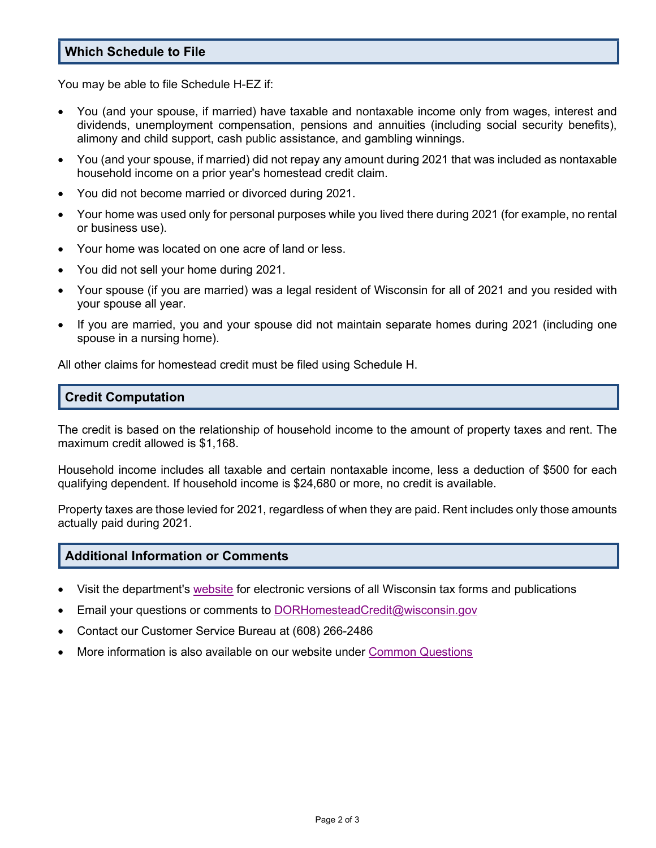## **Which Schedule to File**

You may be able to file Schedule H-EZ if:

- You (and your spouse, if married) have taxable and nontaxable income only from wages, interest and dividends, unemployment compensation, pensions and annuities (including social security benefits), alimony and child support, cash public assistance, and gambling winnings.
- You (and your spouse, if married) did not repay any amount during 2021 that was included as nontaxable household income on a prior year's homestead credit claim.
- You did not become married or divorced during 2021.
- Your home was used only for personal purposes while you lived there during 2021 (for example, no rental or business use).
- Your home was located on one acre of land or less.
- You did not sell your home during 2021.
- Your spouse (if you are married) was a legal resident of Wisconsin for all of 2021 and you resided with your spouse all year.
- If you are married, you and your spouse did not maintain separate homes during 2021 (including one spouse in a nursing home).

All other claims for homestead credit must be filed using Schedule H.

## **Credit Computation**

The credit is based on the relationship of household income to the amount of property taxes and rent. The maximum credit allowed is \$1,168.

Household income includes all taxable and certain nontaxable income, less a deduction of \$500 for each qualifying dependent. If household income is \$24,680 or more, no credit is available.

Property taxes are those levied for 2021, regardless of when they are paid. Rent includes only those amounts actually paid during 2021.

### **Additional Information or Comments**

- Visit the department's [website](https://www.revenue.wi.gov/Pages/home.aspx) for electronic versions of all Wisconsin tax forms and publications
- Email your questions or comments to [DORHomesteadCredit@wisconsin.gov](https://www.revenue.wi.gov/Pages/ContactUs/dorhelp.aspx?subject=dorhomesteadcredit)
- Contact our Customer Service Bureau at (608) 266-2486
- More information is also available on our website under [Common Questions](https://www.revenue.wi.gov/Pages/faqs/home-i.aspx)